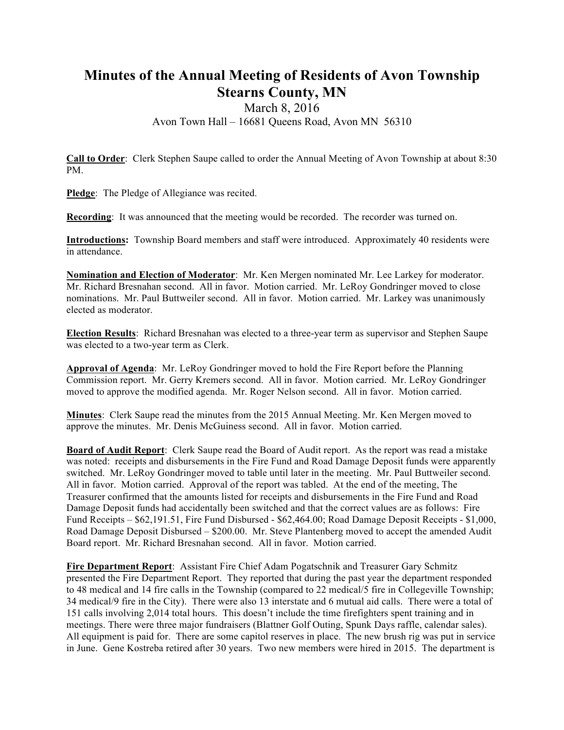## **Minutes of the Annual Meeting of Residents of Avon Township Stearns County, MN**

## March 8, 2016 Avon Town Hall – 16681 Queens Road, Avon MN 56310

**Call to Order**: Clerk Stephen Saupe called to order the Annual Meeting of Avon Township at about 8:30 PM.

**Pledge**: The Pledge of Allegiance was recited.

**Recording:** It was announced that the meeting would be recorded. The recorder was turned on.

**Introductions:** Township Board members and staff were introduced. Approximately 40 residents were in attendance.

**Nomination and Election of Moderator**: Mr. Ken Mergen nominated Mr. Lee Larkey for moderator. Mr. Richard Bresnahan second. All in favor. Motion carried. Mr. LeRoy Gondringer moved to close nominations. Mr. Paul Buttweiler second. All in favor. Motion carried. Mr. Larkey was unanimously elected as moderator.

**Election Results**: Richard Bresnahan was elected to a three-year term as supervisor and Stephen Saupe was elected to a two-year term as Clerk.

**Approval of Agenda**: Mr. LeRoy Gondringer moved to hold the Fire Report before the Planning Commission report. Mr. Gerry Kremers second. All in favor. Motion carried. Mr. LeRoy Gondringer moved to approve the modified agenda. Mr. Roger Nelson second. All in favor. Motion carried.

**Minutes**: Clerk Saupe read the minutes from the 2015 Annual Meeting. Mr. Ken Mergen moved to approve the minutes. Mr. Denis McGuiness second. All in favor. Motion carried.

**Board of Audit Report**: Clerk Saupe read the Board of Audit report. As the report was read a mistake was noted: receipts and disbursements in the Fire Fund and Road Damage Deposit funds were apparently switched. Mr. LeRoy Gondringer moved to table until later in the meeting. Mr. Paul Buttweiler second. All in favor. Motion carried. Approval of the report was tabled. At the end of the meeting, The Treasurer confirmed that the amounts listed for receipts and disbursements in the Fire Fund and Road Damage Deposit funds had accidentally been switched and that the correct values are as follows: Fire Fund Receipts – \$62,191.51, Fire Fund Disbursed - \$62,464.00; Road Damage Deposit Receipts - \$1,000, Road Damage Deposit Disbursed – \$200.00. Mr. Steve Plantenberg moved to accept the amended Audit Board report. Mr. Richard Bresnahan second. All in favor. Motion carried.

**Fire Department Report**: Assistant Fire Chief Adam Pogatschnik and Treasurer Gary Schmitz presented the Fire Department Report. They reported that during the past year the department responded to 48 medical and 14 fire calls in the Township (compared to 22 medical/5 fire in Collegeville Township; 34 medical/9 fire in the City). There were also 13 interstate and 6 mutual aid calls. There were a total of 151 calls involving 2,014 total hours. This doesn't include the time firefighters spent training and in meetings. There were three major fundraisers (Blattner Golf Outing, Spunk Days raffle, calendar sales). All equipment is paid for. There are some capitol reserves in place. The new brush rig was put in service in June. Gene Kostreba retired after 30 years. Two new members were hired in 2015. The department is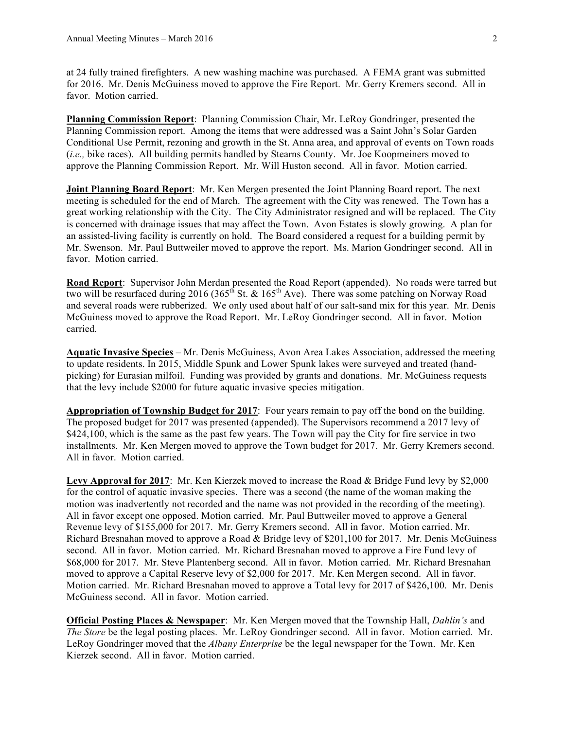at 24 fully trained firefighters. A new washing machine was purchased. A FEMA grant was submitted for 2016. Mr. Denis McGuiness moved to approve the Fire Report. Mr. Gerry Kremers second. All in favor. Motion carried.

**Planning Commission Report**: Planning Commission Chair, Mr. LeRoy Gondringer, presented the Planning Commission report. Among the items that were addressed was a Saint John's Solar Garden Conditional Use Permit, rezoning and growth in the St. Anna area, and approval of events on Town roads (*i.e.,* bike races). All building permits handled by Stearns County. Mr. Joe Koopmeiners moved to approve the Planning Commission Report. Mr. Will Huston second. All in favor. Motion carried.

**Joint Planning Board Report**: Mr. Ken Mergen presented the Joint Planning Board report. The next meeting is scheduled for the end of March. The agreement with the City was renewed. The Town has a great working relationship with the City. The City Administrator resigned and will be replaced. The City is concerned with drainage issues that may affect the Town. Avon Estates is slowly growing. A plan for an assisted-living facility is currently on hold. The Board considered a request for a building permit by Mr. Swenson. Mr. Paul Buttweiler moved to approve the report. Ms. Marion Gondringer second. All in favor. Motion carried.

**Road Report**: Supervisor John Merdan presented the Road Report (appended). No roads were tarred but two will be resurfaced during 2016 (365<sup>th</sup> St. & 165<sup>th</sup> Ave). There was some patching on Norway Road and several roads were rubberized. We only used about half of our salt-sand mix for this year. Mr. Denis McGuiness moved to approve the Road Report. Mr. LeRoy Gondringer second. All in favor. Motion carried.

**Aquatic Invasive Species** – Mr. Denis McGuiness, Avon Area Lakes Association, addressed the meeting to update residents. In 2015, Middle Spunk and Lower Spunk lakes were surveyed and treated (handpicking) for Eurasian milfoil. Funding was provided by grants and donations. Mr. McGuiness requests that the levy include \$2000 for future aquatic invasive species mitigation.

**Appropriation of Township Budget for 2017**: Four years remain to pay off the bond on the building. The proposed budget for 2017 was presented (appended). The Supervisors recommend a 2017 levy of \$424,100, which is the same as the past few years. The Town will pay the City for fire service in two installments. Mr. Ken Mergen moved to approve the Town budget for 2017. Mr. Gerry Kremers second. All in favor. Motion carried.

**Levy Approval for 2017**: Mr. Ken Kierzek moved to increase the Road & Bridge Fund levy by \$2,000 for the control of aquatic invasive species. There was a second (the name of the woman making the motion was inadvertently not recorded and the name was not provided in the recording of the meeting). All in favor except one opposed. Motion carried. Mr. Paul Buttweiler moved to approve a General Revenue levy of \$155,000 for 2017. Mr. Gerry Kremers second. All in favor. Motion carried. Mr. Richard Bresnahan moved to approve a Road & Bridge levy of \$201,100 for 2017. Mr. Denis McGuiness second. All in favor. Motion carried. Mr. Richard Bresnahan moved to approve a Fire Fund levy of \$68,000 for 2017. Mr. Steve Plantenberg second. All in favor. Motion carried. Mr. Richard Bresnahan moved to approve a Capital Reserve levy of \$2,000 for 2017. Mr. Ken Mergen second. All in favor. Motion carried. Mr. Richard Bresnahan moved to approve a Total levy for 2017 of \$426,100. Mr. Denis McGuiness second. All in favor. Motion carried.

**Official Posting Places & Newspaper**: Mr. Ken Mergen moved that the Township Hall, *Dahlin's* and *The Store* be the legal posting places. Mr. LeRoy Gondringer second. All in favor. Motion carried. Mr. LeRoy Gondringer moved that the *Albany Enterprise* be the legal newspaper for the Town. Mr. Ken Kierzek second. All in favor. Motion carried.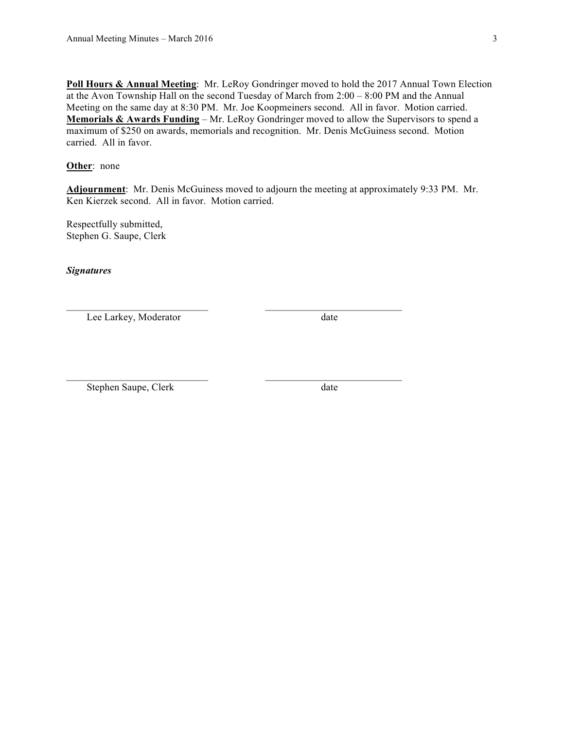**Poll Hours & Annual Meeting**: Mr. LeRoy Gondringer moved to hold the 2017 Annual Town Election at the Avon Township Hall on the second Tuesday of March from 2:00 – 8:00 PM and the Annual Meeting on the same day at 8:30 PM. Mr. Joe Koopmeiners second. All in favor. Motion carried. **Memorials & Awards Funding** – Mr. LeRoy Gondringer moved to allow the Supervisors to spend a maximum of \$250 on awards, memorials and recognition. Mr. Denis McGuiness second. Motion carried. All in favor.

## **Other**: none

**Adjournment**: Mr. Denis McGuiness moved to adjourn the meeting at approximately 9:33 PM. Mr. Ken Kierzek second. All in favor. Motion carried.

 $\mathcal{L}_\text{max} = \mathcal{L}_\text{max} = \mathcal{L}_\text{max} = \mathcal{L}_\text{max} = \mathcal{L}_\text{max} = \mathcal{L}_\text{max} = \mathcal{L}_\text{max} = \mathcal{L}_\text{max} = \mathcal{L}_\text{max} = \mathcal{L}_\text{max} = \mathcal{L}_\text{max} = \mathcal{L}_\text{max} = \mathcal{L}_\text{max} = \mathcal{L}_\text{max} = \mathcal{L}_\text{max} = \mathcal{L}_\text{max} = \mathcal{L}_\text{max} = \mathcal{L}_\text{max} = \mathcal{$ 

 $\mathcal{L}_\text{max} = \mathcal{L}_\text{max} = \mathcal{L}_\text{max} = \mathcal{L}_\text{max} = \mathcal{L}_\text{max} = \mathcal{L}_\text{max} = \mathcal{L}_\text{max} = \mathcal{L}_\text{max} = \mathcal{L}_\text{max} = \mathcal{L}_\text{max} = \mathcal{L}_\text{max} = \mathcal{L}_\text{max} = \mathcal{L}_\text{max} = \mathcal{L}_\text{max} = \mathcal{L}_\text{max} = \mathcal{L}_\text{max} = \mathcal{L}_\text{max} = \mathcal{L}_\text{max} = \mathcal{$ 

Respectfully submitted, Stephen G. Saupe, Clerk

*Signatures*

Lee Larkey, Moderator date

Stephen Saupe, Clerk date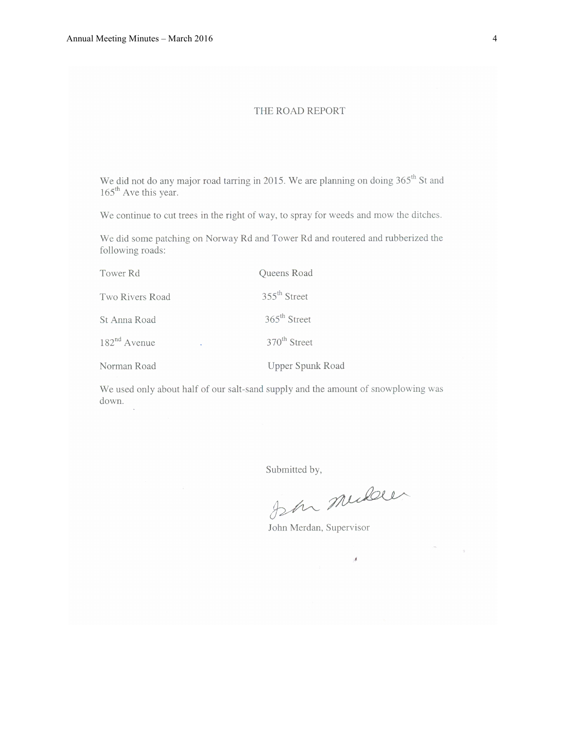## THE ROAD REPORT

We did not do any major road tarring in 2015. We are planning on doing 365<sup>th</sup> St and  $165^{\text{th}}$  Ave this year.

We continue to cut trees in the right of way, to spray for weeds and mow the ditches.

We did some patching on Norway Rd and Tower Rd and routered and rubberized the following roads:

| Tower Rd        | Queens Road              |  |  |
|-----------------|--------------------------|--|--|
| Two Rivers Road | $355^{\text{th}}$ Street |  |  |
| St Anna Road    | $365^{\text{th}}$ Street |  |  |
| $182nd$ Avenue  | 370 <sup>th</sup> Street |  |  |
| Norman Road     | Upper Spunk Road         |  |  |

We used only about half of our salt-sand supply and the amount of snowplowing was down.

Submitted by,

John midden

 $\mathcal{A}$ 

John Merdan, Supervisor